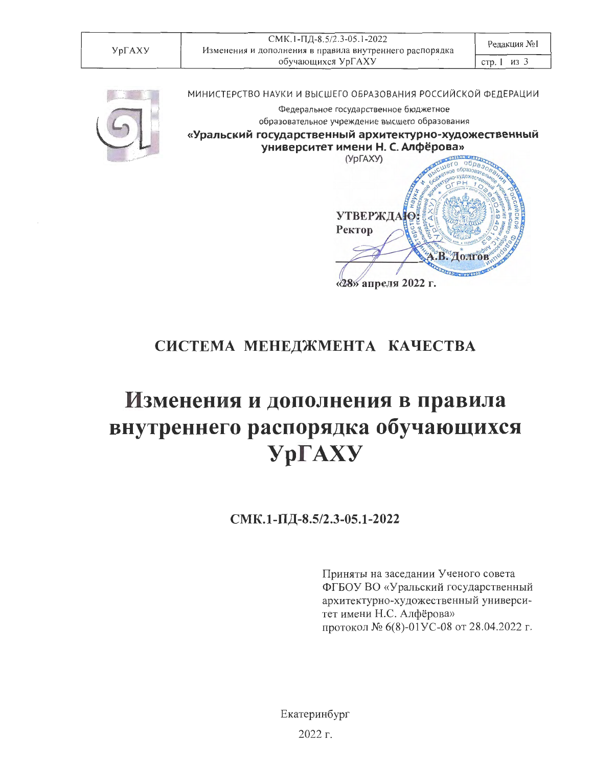СМК.1-ПД-8.5/2.3-05.1-2022 Изменения и дополнения в правила внутреннего распорядка обучающихся УрГАХУ

стр. 1 из 3



МИНИСТЕРСТВО НАУКИ И ВЫСШЕГО ОБРАЗОВАНИЯ РОССИЙСКОЙ ФЕДЕРАЦИИ

Федеральное государственное бюджетное образовательное учреждение высшего образования

«Уральский государственный архитектурно-художественный университет имени Н. С. Алфёрова»



## СИСТЕМА МЕНЕДЖМЕНТА КАЧЕСТВА

## Изменения и дополнения в правила внутреннего распорядка обучающихся **YpFAXY**

СМК.1-ПД-8.5/2.3-05.1-2022

Приняты на заседании Ученого совета ФГБОУ ВО «Уральский государственный архитектурно-художественный университет имени Н.С. Алфёрова» протокол № 6(8)-01УС-08 от 28.04.2022 г.

Екатеринбург 2022 г.